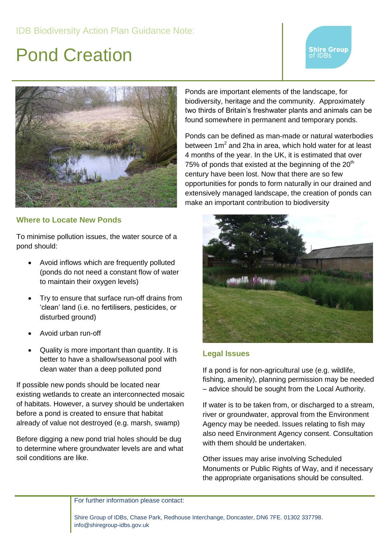### Pond Creation

# **Shire Group**<br>of IDBs



### **Where to Locate New Ponds**

To minimise pollution issues, the water source of a pond should:

- Avoid inflows which are frequently polluted (ponds do not need a constant flow of water to maintain their oxygen levels)
- Try to ensure that surface run-off drains from 'clean' land (i.e. no fertilisers, pesticides, or disturbed ground)
- Avoid urban run-off
- Quality is more important than quantity. It is better to have a shallow/seasonal pool with clean water than a deep polluted pond

If possible new ponds should be located near existing wetlands to create an interconnected mosaic of habitats. However, a survey should be undertaken before a pond is created to ensure that habitat already of value not destroyed (e.g. marsh, swamp)

Before digging a new pond trial holes should be dug to determine where groundwater levels are and what soil conditions are like.

Ponds are important elements of the landscape, for biodiversity, heritage and the community. Approximately two thirds of Britain's freshwater plants and animals can be found somewhere in permanent and temporary ponds.

Ponds can be defined as man-made or natural waterbodies between  $1m^2$  and 2ha in area, which hold water for at least 4 months of the year. In the UK, it is estimated that over 75% of ponds that existed at the beginning of the  $20<sup>th</sup>$ century have been lost. Now that there are so few opportunities for ponds to form naturally in our drained and extensively managed landscape, the creation of ponds can make an important contribution to biodiversity



#### **Legal Issues**

If a pond is for non-agricultural use (e.g. wildlife, fishing, amenity), planning permission may be needed – advice should be sought from the Local Authority.

If water is to be taken from, or discharged to a stream, river or groundwater, approval from the Environment Agency may be needed. Issues relating to fish may also need Environment Agency consent. Consultation with them should be undertaken.

Other issues may arise involving Scheduled Monuments or Public Rights of Way, and if necessary the appropriate organisations should be consulted.

For further information please contact: